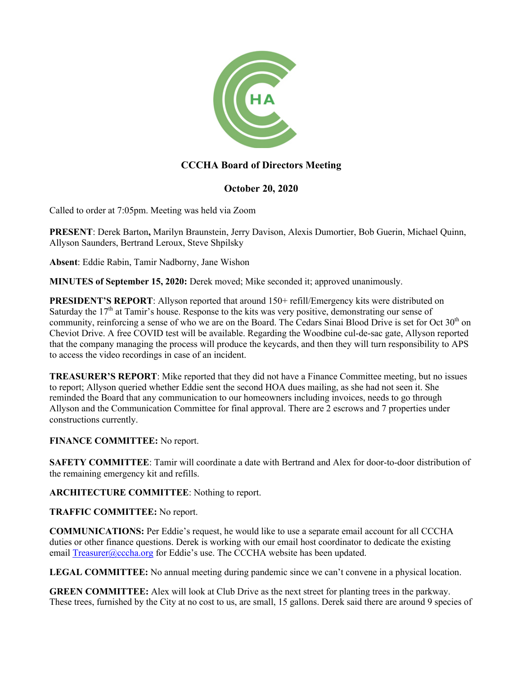

# **CCCHA Board of Directors Meeting**

## **October 20, 2020**

Called to order at 7:05pm. Meeting was held via Zoom

**PRESENT**: Derek Barton**,** Marilyn Braunstein, Jerry Davison, Alexis Dumortier, Bob Guerin, Michael Quinn, Allyson Saunders, Bertrand Leroux, Steve Shpilsky

**Absent**: Eddie Rabin, Tamir Nadborny, Jane Wishon

**MINUTES of September 15, 2020:** Derek moved; Mike seconded it; approved unanimously.

**PRESIDENT'S REPORT:** Allyson reported that around 150+ refill/Emergency kits were distributed on Saturday the  $17<sup>th</sup>$  at Tamir's house. Response to the kits was very positive, demonstrating our sense of community, reinforcing a sense of who we are on the Board. The Cedars Sinai Blood Drive is set for Oct  $30<sup>th</sup>$  on Cheviot Drive. A free COVID test will be available. Regarding the Woodbine cul-de-sac gate, Allyson reported that the company managing the process will produce the keycards, and then they will turn responsibility to APS to access the video recordings in case of an incident.

**TREASURER'S REPORT**: Mike reported that they did not have a Finance Committee meeting, but no issues to report; Allyson queried whether Eddie sent the second HOA dues mailing, as she had not seen it. She reminded the Board that any communication to our homeowners including invoices, needs to go through Allyson and the Communication Committee for final approval. There are 2 escrows and 7 properties under constructions currently.

## **FINANCE COMMITTEE:** No report.

**SAFETY COMMITTEE:** Tamir will coordinate a date with Bertrand and Alex for door-to-door distribution of the remaining emergency kit and refills.

**ARCHITECTURE COMMITTEE**: Nothing to report.

**TRAFFIC COMMITTEE:** No report.

**COMMUNICATIONS:** Per Eddie's request, he would like to use a separate email account for all CCCHA duties or other finance questions. Derek is working with our email host coordinator to dedicate the existing email Treasurer@cccha.org for Eddie's use. The CCCHA website has been updated.

**LEGAL COMMITTEE:** No annual meeting during pandemic since we can't convene in a physical location.

**GREEN COMMITTEE:** Alex will look at Club Drive as the next street for planting trees in the parkway. These trees, furnished by the City at no cost to us, are small, 15 gallons. Derek said there are around 9 species of